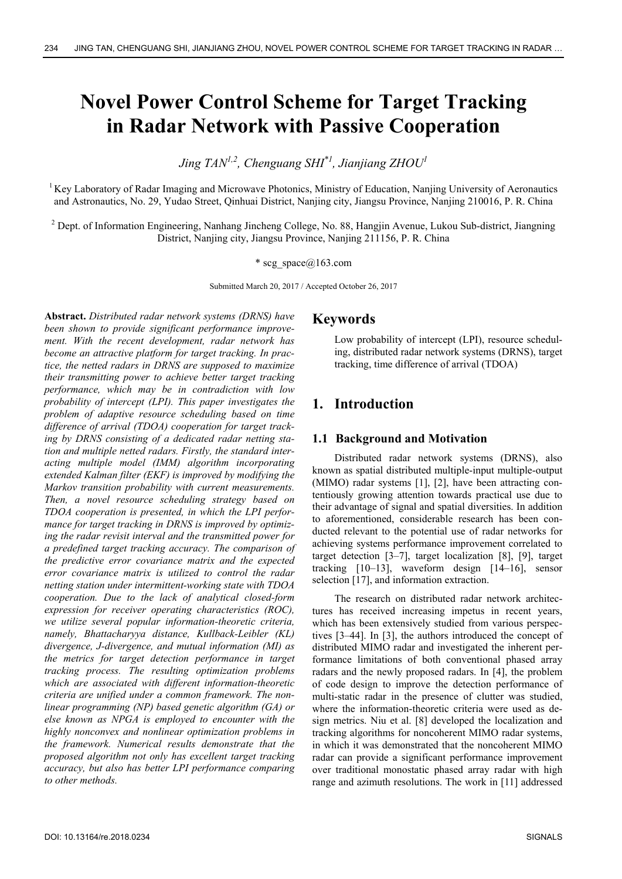# **Novel Power Control Scheme for Target Tracking in Radar Network with Passive Cooperation**

*Jing TAN1,2, Chenguang SHI\*1, Jianjiang ZHOU1*

<sup>1</sup> Key Laboratory of Radar Imaging and Microwave Photonics, Ministry of Education, Nanjing University of Aeronautics and Astronautics, No. 29, Yudao Street, Qinhuai District, Nanjing city, Jiangsu Province, Nanjing 210016, P. R. China

 $2$  Dept. of Information Engineering, Nanhang Jincheng College, No. 88, Hangjin Avenue, Lukou Sub-district, Jiangning District, Nanjing city, Jiangsu Province, Nanjing 211156, P. R. China

\* scg space $@163$ .com

Submitted March 20, 2017 / Accepted October 26, 2017

**Abstract.** *Distributed radar network systems (DRNS) have been shown to provide significant performance improvement. With the recent development, radar network has become an attractive platform for target tracking. In practice, the netted radars in DRNS are supposed to maximize their transmitting power to achieve better target tracking performance, which may be in contradiction with low probability of intercept (LPI). This paper investigates the problem of adaptive resource scheduling based on time difference of arrival (TDOA) cooperation for target tracking by DRNS consisting of a dedicated radar netting station and multiple netted radars. Firstly, the standard interacting multiple model (IMM) algorithm incorporating extended Kalman filter (EKF) is improved by modifying the Markov transition probability with current measurements. Then, a novel resource scheduling strategy based on TDOA cooperation is presented, in which the LPI performance for target tracking in DRNS is improved by optimizing the radar revisit interval and the transmitted power for a predefined target tracking accuracy. The comparison of the predictive error covariance matrix and the expected error covariance matrix is utilized to control the radar netting station under intermittent-working state with TDOA cooperation. Due to the lack of analytical closed-form expression for receiver operating characteristics (ROC), we utilize several popular information-theoretic criteria, namely, Bhattacharyya distance, Kullback-Leibler (KL) divergence, J-divergence, and mutual information (MI) as the metrics for target detection performance in target tracking process. The resulting optimization problems which are associated with different information-theoretic criteria are unified under a common framework. The nonlinear programming (NP) based genetic algorithm (GA) or else known as NPGA is employed to encounter with the highly nonconvex and nonlinear optimization problems in the framework. Numerical results demonstrate that the proposed algorithm not only has excellent target tracking accuracy, but also has better LPI performance comparing to other methods.* 

### **Keywords**

Low probability of intercept (LPI), resource scheduling, distributed radar network systems (DRNS), target tracking, time difference of arrival (TDOA)

# **1. Introduction**

### **1.1 Background and Motivation**

Distributed radar network systems (DRNS), also known as spatial distributed multiple-input multiple-output (MIMO) radar systems [1], [2], have been attracting contentiously growing attention towards practical use due to their advantage of signal and spatial diversities. In addition to aforementioned, considerable research has been conducted relevant to the potential use of radar networks for achieving systems performance improvement correlated to target detection [3–7], target localization [8], [9], target tracking [10–13], waveform design [14–16], sensor selection [17], and information extraction.

The research on distributed radar network architectures has received increasing impetus in recent years, which has been extensively studied from various perspectives [3–44]. In [3], the authors introduced the concept of distributed MIMO radar and investigated the inherent performance limitations of both conventional phased array radars and the newly proposed radars. In [4], the problem of code design to improve the detection performance of multi-static radar in the presence of clutter was studied, where the information-theoretic criteria were used as design metrics. Niu et al. [8] developed the localization and tracking algorithms for noncoherent MIMO radar systems, in which it was demonstrated that the noncoherent MIMO radar can provide a significant performance improvement over traditional monostatic phased array radar with high range and azimuth resolutions. The work in [11] addressed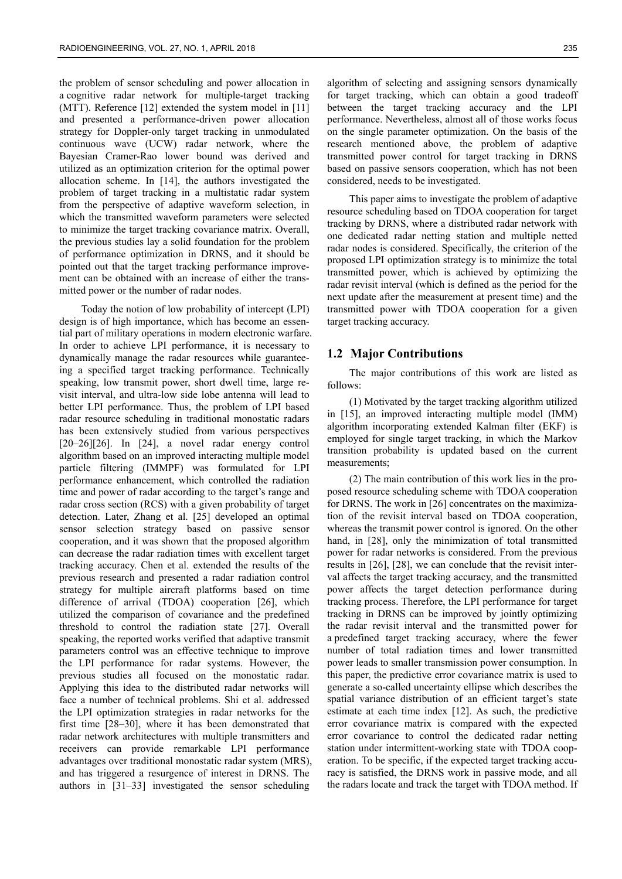the problem of sensor scheduling and power allocation in a cognitive radar network for multiple-target tracking (MTT). Reference [12] extended the system model in [11] and presented a performance-driven power allocation strategy for Doppler-only target tracking in unmodulated continuous wave (UCW) radar network, where the Bayesian Cramer-Rao lower bound was derived and utilized as an optimization criterion for the optimal power allocation scheme. In [14], the authors investigated the problem of target tracking in a multistatic radar system from the perspective of adaptive waveform selection, in which the transmitted waveform parameters were selected to minimize the target tracking covariance matrix. Overall, the previous studies lay a solid foundation for the problem of performance optimization in DRNS, and it should be pointed out that the target tracking performance improvement can be obtained with an increase of either the transmitted power or the number of radar nodes.

Today the notion of low probability of intercept (LPI) design is of high importance, which has become an essential part of military operations in modern electronic warfare. In order to achieve LPI performance, it is necessary to dynamically manage the radar resources while guaranteeing a specified target tracking performance. Technically speaking, low transmit power, short dwell time, large revisit interval, and ultra-low side lobe antenna will lead to better LPI performance. Thus, the problem of LPI based radar resource scheduling in traditional monostatic radars has been extensively studied from various perspectives  $[20-26][26]$ . In  $[24]$ , a novel radar energy control algorithm based on an improved interacting multiple model particle filtering (IMMPF) was formulated for LPI performance enhancement, which controlled the radiation time and power of radar according to the target's range and radar cross section (RCS) with a given probability of target detection. Later, Zhang et al. [25] developed an optimal sensor selection strategy based on passive sensor cooperation, and it was shown that the proposed algorithm can decrease the radar radiation times with excellent target tracking accuracy. Chen et al. extended the results of the previous research and presented a radar radiation control strategy for multiple aircraft platforms based on time difference of arrival (TDOA) cooperation [26], which utilized the comparison of covariance and the predefined threshold to control the radiation state [27]. Overall speaking, the reported works verified that adaptive transmit parameters control was an effective technique to improve the LPI performance for radar systems. However, the previous studies all focused on the monostatic radar. Applying this idea to the distributed radar networks will face a number of technical problems. Shi et al. addressed the LPI optimization strategies in radar networks for the first time [28–30], where it has been demonstrated that radar network architectures with multiple transmitters and receivers can provide remarkable LPI performance advantages over traditional monostatic radar system (MRS), and has triggered a resurgence of interest in DRNS. The authors in [31–33] investigated the sensor scheduling

algorithm of selecting and assigning sensors dynamically for target tracking, which can obtain a good tradeoff between the target tracking accuracy and the LPI performance. Nevertheless, almost all of those works focus on the single parameter optimization. On the basis of the research mentioned above, the problem of adaptive transmitted power control for target tracking in DRNS based on passive sensors cooperation, which has not been considered, needs to be investigated.

This paper aims to investigate the problem of adaptive resource scheduling based on TDOA cooperation for target tracking by DRNS, where a distributed radar network with one dedicated radar netting station and multiple netted radar nodes is considered. Specifically, the criterion of the proposed LPI optimization strategy is to minimize the total transmitted power, which is achieved by optimizing the radar revisit interval (which is defined as the period for the next update after the measurement at present time) and the transmitted power with TDOA cooperation for a given target tracking accuracy.

### **1.2 Major Contributions**

The major contributions of this work are listed as follows:

(1) Motivated by the target tracking algorithm utilized in [15], an improved interacting multiple model (IMM) algorithm incorporating extended Kalman filter (EKF) is employed for single target tracking, in which the Markov transition probability is updated based on the current measurements;

(2) The main contribution of this work lies in the proposed resource scheduling scheme with TDOA cooperation for DRNS. The work in [26] concentrates on the maximization of the revisit interval based on TDOA cooperation, whereas the transmit power control is ignored. On the other hand, in [28], only the minimization of total transmitted power for radar networks is considered. From the previous results in [26], [28], we can conclude that the revisit interval affects the target tracking accuracy, and the transmitted power affects the target detection performance during tracking process. Therefore, the LPI performance for target tracking in DRNS can be improved by jointly optimizing the radar revisit interval and the transmitted power for a predefined target tracking accuracy, where the fewer number of total radiation times and lower transmitted power leads to smaller transmission power consumption. In this paper, the predictive error covariance matrix is used to generate a so-called uncertainty ellipse which describes the spatial variance distribution of an efficient target's state estimate at each time index [12]. As such, the predictive error covariance matrix is compared with the expected error covariance to control the dedicated radar netting station under intermittent-working state with TDOA cooperation. To be specific, if the expected target tracking accuracy is satisfied, the DRNS work in passive mode, and all the radars locate and track the target with TDOA method. If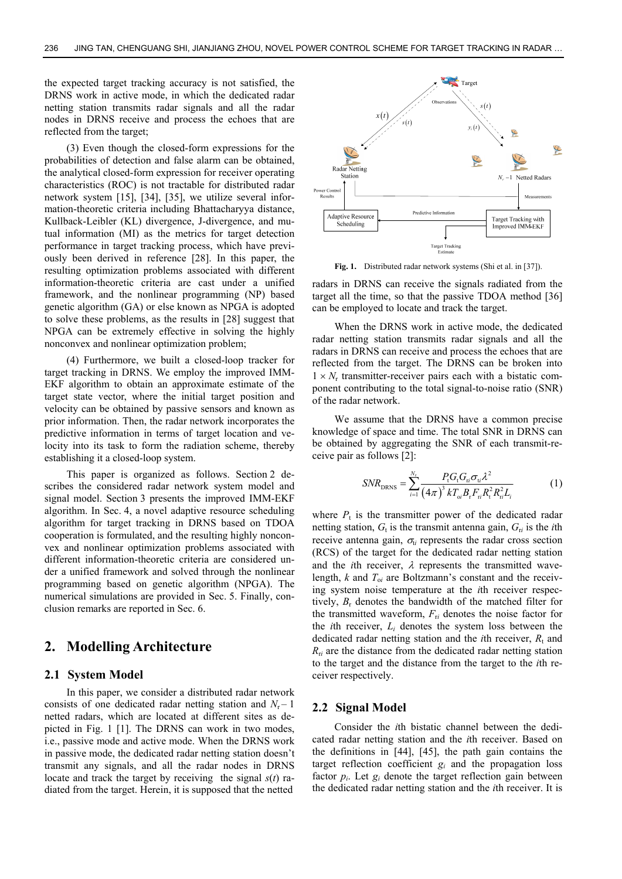the expected target tracking accuracy is not satisfied, the DRNS work in active mode, in which the dedicated radar netting station transmits radar signals and all the radar nodes in DRNS receive and process the echoes that are reflected from the target;

(3) Even though the closed-form expressions for the probabilities of detection and false alarm can be obtained, the analytical closed-form expression for receiver operating characteristics (ROC) is not tractable for distributed radar network system [15], [34], [35], we utilize several information-theoretic criteria including Bhattacharyya distance, Kullback-Leibler (KL) divergence, J-divergence, and mutual information (MI) as the metrics for target detection performance in target tracking process, which have previously been derived in reference [28]. In this paper, the resulting optimization problems associated with different information-theoretic criteria are cast under a unified framework, and the nonlinear programming (NP) based genetic algorithm (GA) or else known as NPGA is adopted to solve these problems, as the results in [28] suggest that NPGA can be extremely effective in solving the highly nonconvex and nonlinear optimization problem;

(4) Furthermore, we built a closed-loop tracker for target tracking in DRNS. We employ the improved IMM-EKF algorithm to obtain an approximate estimate of the target state vector, where the initial target position and velocity can be obtained by passive sensors and known as prior information. Then, the radar network incorporates the predictive information in terms of target location and velocity into its task to form the radiation scheme, thereby establishing it a closed-loop system.

This paper is organized as follows. Section 2 describes the considered radar network system model and signal model. Section 3 presents the improved IMM-EKF algorithm. In Sec. 4, a novel adaptive resource scheduling algorithm for target tracking in DRNS based on TDOA cooperation is formulated, and the resulting highly nonconvex and nonlinear optimization problems associated with different information-theoretic criteria are considered under a unified framework and solved through the nonlinear programming based on genetic algorithm (NPGA). The numerical simulations are provided in Sec. 5. Finally, conclusion remarks are reported in Sec. 6.

# **2. Modelling Architecture**

### **2.1 System Model**

In this paper, we consider a distributed radar network consists of one dedicated radar netting station and  $N_r - 1$ netted radars, which are located at different sites as depicted in Fig. 1 [1]. The DRNS can work in two modes, i.e., passive mode and active mode. When the DRNS work in passive mode, the dedicated radar netting station doesn't transmit any signals, and all the radar nodes in DRNS locate and track the target by receiving the signal *s*(*t*) radiated from the target. Herein, it is supposed that the netted



**Fig. 1.** Distributed radar network systems (Shi et al. in [37]).

radars in DRNS can receive the signals radiated from the target all the time, so that the passive TDOA method [36] can be employed to locate and track the target.

When the DRNS work in active mode, the dedicated radar netting station transmits radar signals and all the radars in DRNS can receive and process the echoes that are reflected from the target. The DRNS can be broken into  $1 \times N_r$  transmitter-receiver pairs each with a bistatic component contributing to the total signal-to-noise ratio (SNR) of the radar network.

We assume that the DRNS have a common precise knowledge of space and time. The total SNR in DRNS can be obtained by aggregating the SNR of each transmit-receive pair as follows [2]:

$$
SNR_{\text{DRNS}} = \sum_{i=1}^{N_r} \frac{P_t G_t G_{ti} \sigma_{ti} \lambda^2}{\left(4\pi\right)^3 k T_{oj} B_r F_{ti} R_t^2 R_{ti}^2 L_i}
$$
(1)

where  $P_t$  is the transmitter power of the dedicated radar netting station,  $G_t$  is the transmit antenna gain,  $G_{ti}$  is the *i*th receive antenna gain,  $\sigma_{ti}$  represents the radar cross section (RCS) of the target for the dedicated radar netting station and the *i*th receiver,  $\lambda$  represents the transmitted wavelength,  $k$  and  $T_{oi}$  are Boltzmann's constant and the receiving system noise temperature at the *i*th receiver respectively, *B*r denotes the bandwidth of the matched filter for the transmitted waveform,  $F_{ri}$  denotes the noise factor for the *i*th receiver, *Li* denotes the system loss between the dedicated radar netting station and the *i*th receiver,  $R_t$  and  $R_{ri}$  are the distance from the dedicated radar netting station to the target and the distance from the target to the *i*th receiver respectively.

#### **2.2 Signal Model**

Consider the *i*th bistatic channel between the dedicated radar netting station and the *i*th receiver. Based on the definitions in [44], [45], the path gain contains the target reflection coefficient  $g_i$  and the propagation loss factor  $p_i$ . Let  $g_i$  denote the target reflection gain between the dedicated radar netting station and the *i*th receiver. It is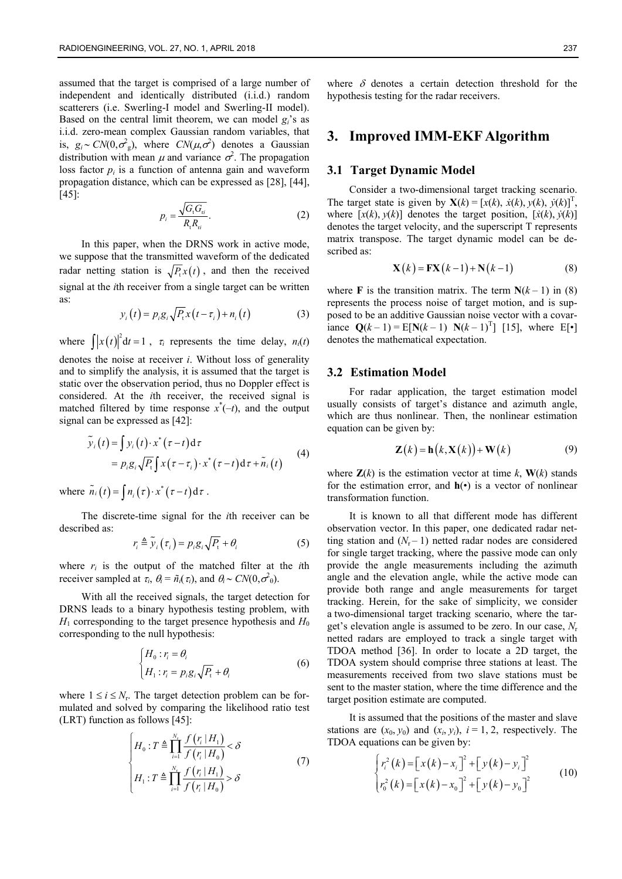assumed that the target is comprised of a large number of independent and identically distributed (i.i.d.) random scatterers (i.e. Swerling-I model and Swerling-II model). Based on the central limit theorem, we can model  $g_i$ 's as i.i.d. zero-mean complex Gaussian random variables, that is,  $g_i \sim CN(0, \sigma_g^2)$ , where  $CN(\mu, \sigma_g^2)$  denotes a Gaussian distribution with mean  $\mu$  and variance  $\sigma^2$ . The propagation loss factor  $p_i$  is a function of antenna gain and waveform propagation distance, which can be expressed as [28], [44], [45]:

$$
p_i = \frac{\sqrt{G_i G_{ri}}}{R_i R_{ri}}.\tag{2}
$$

In this paper, when the DRNS work in active mode, we suppose that the transmitted waveform of the dedicated radar netting station is  $\sqrt{P_{\rm x}}(t)$ , and then the received signal at the *i*th receiver from a single target can be written as:

$$
y_i(t) = p_i g_i \sqrt{P_t} x(t - \tau_i) + n_i(t)
$$
 (3)

where  $\int |x(t)|^2 dt = 1$ ,  $\tau_i$  represents the time delay,  $n_i(t)$ denotes the noise at receiver *i*. Without loss of generality and to simplify the analysis, it is assumed that the target is static over the observation period, thus no Doppler effect is considered. At the *i*th receiver, the received signal is matched filtered by time response  $x^*(-t)$ , and the output signal can be expressed as [42]:

$$
\tilde{y}_i(t) = \int y_i(t) \cdot x^* (\tau - t) d\tau \n= p_i g_i \sqrt{P_t} \int x(\tau - \tau_i) \cdot x^* (\tau - t) d\tau + \tilde{n}_i(t)
$$
\n(4)

where  $\tilde{n}_i(t) = \int n_i(\tau) \cdot x^*(\tau - t) d\tau$ .

The discrete-time signal for the *i*th receiver can be described as:

$$
r_i \triangleq \tilde{y}_i(\tau_i) = p_i g_i \sqrt{P_t} + \theta_i \tag{5}
$$

where  $r_i$  is the output of the matched filter at the *i*th receiver sampled at  $\tau_i$ ,  $\theta_i = \tilde{n}_i(\tau_i)$ , and  $\theta_i \sim CN(0, \sigma^2)$ .

With all the received signals, the target detection for DRNS leads to a binary hypothesis testing problem, with  $H_1$  corresponding to the target presence hypothesis and  $H_0$ corresponding to the null hypothesis:

$$
\begin{cases} H_0: r_i = \theta_i \\ H_1: r_i = p_i g_i \sqrt{P_t} + \theta_i \end{cases}
$$
 (6)

where  $1 \le i \le N_r$ . The target detection problem can be formulated and solved by comparing the likelihood ratio test (LRT) function as follows [45]:

$$
\begin{cases}\nH_0: T \triangleq \prod_{i=1}^{N_r} \frac{f(r_i | H_1)}{f(r_i | H_0)} < \delta \\
H_1: T \triangleq \prod_{i=1}^{N_r} \frac{f(r_i | H_1)}{f(r_i | H_0)} > \delta\n\end{cases} \tag{7}
$$

where  $\delta$  denotes a certain detection threshold for the hypothesis testing for the radar receivers.

### **3. Improved IMM-EKF Algorithm**

### **3.1 Target Dynamic Model**

Consider a two-dimensional target tracking scenario. The target state is given by  $\mathbf{X}(k) = [x(k), x(k), y(k), y(k)]^\text{T}$ , where  $[x(k), y(k)]$  denotes the target position,  $[x(k), y(k)]$ denotes the target velocity, and the superscript T represents matrix transpose. The target dynamic model can be described as:

$$
\mathbf{X}(k) = \mathbf{FX}(k-1) + \mathbf{N}(k-1) \tag{8}
$$

where **F** is the transition matrix. The term  $N(k-1)$  in (8) represents the process noise of target motion, and is supposed to be an additive Gaussian noise vector with a covariance  $Q(k-1) = E[N(k-1) N(k-1)^T]$  [15], where  $E[\cdot]$ denotes the mathematical expectation.

#### **3.2 Estimation Model**

For radar application, the target estimation model usually consists of target's distance and azimuth angle, which are thus nonlinear. Then, the nonlinear estimation equation can be given by:

$$
\mathbf{Z}(k) = \mathbf{h}(k, \mathbf{X}(k)) + \mathbf{W}(k)
$$
 (9)

where  $\mathbf{Z}(k)$  is the estimation vector at time  $k$ ,  $\mathbf{W}(k)$  stands for the estimation error, and **h**(•) is a vector of nonlinear transformation function.

It is known to all that different mode has different observation vector. In this paper, one dedicated radar netting station and  $(N<sub>r</sub> - 1)$  netted radar nodes are considered for single target tracking, where the passive mode can only provide the angle measurements including the azimuth angle and the elevation angle, while the active mode can provide both range and angle measurements for target tracking. Herein, for the sake of simplicity, we consider a two-dimensional target tracking scenario, where the target's elevation angle is assumed to be zero. In our case, *N*<sup>r</sup> netted radars are employed to track a single target with TDOA method [36]. In order to locate a 2D target, the TDOA system should comprise three stations at least. The measurements received from two slave stations must be sent to the master station, where the time difference and the target position estimate are computed.

It is assumed that the positions of the master and slave stations are  $(x_0, y_0)$  and  $(x_i, y_i)$ ,  $i = 1, 2$ , respectively. The TDOA equations can be given by:

$$
\begin{cases} r_i^2(k) = [x(k) - x_i]^2 + [y(k) - y_i]^2\\ r_0^2(k) = [x(k) - x_0]^2 + [y(k) - y_0]^2 \end{cases}
$$
 (10)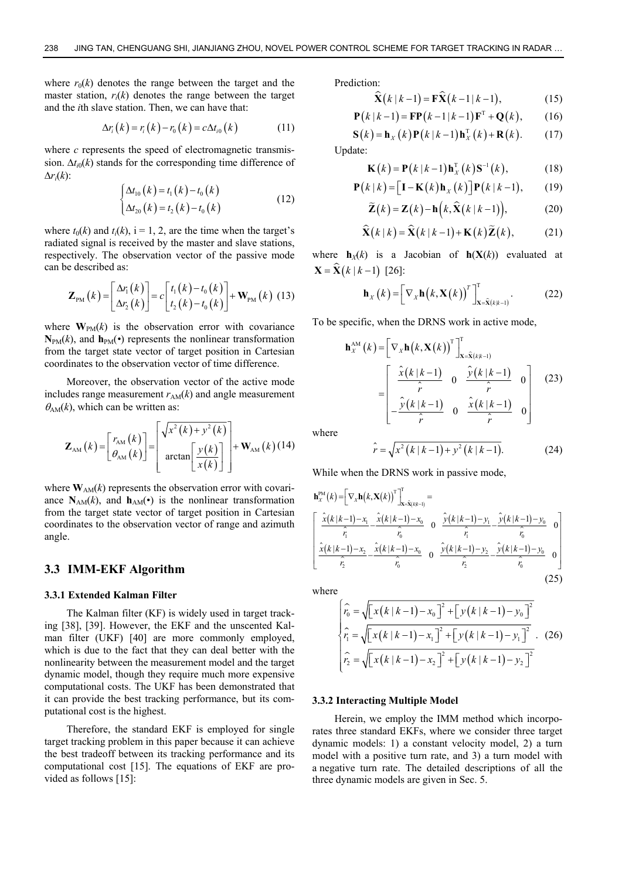where  $r_0(k)$  denotes the range between the target and the master station,  $r<sub>i</sub>(k)$  denotes the range between the target and the *i*th slave station. Then, we can have that:

$$
\Delta r_i(k) = r_i(k) - r_0(k) = c \Delta t_{i0}(k) \tag{11}
$$

where *c* represents the speed of electromagnetic transmission.  $\Delta t_{i0}(k)$  stands for the corresponding time difference of  $\Delta r_i(k)$ :

$$
\begin{cases} \Delta t_{10}(k) = t_1(k) - t_0(k) \\ \Delta t_{20}(k) = t_2(k) - t_0(k) \end{cases}
$$
 (12)

where  $t_0(k)$  and  $t_i(k)$ , i = 1, 2, are the time when the target's radiated signal is received by the master and slave stations, respectively. The observation vector of the passive mode can be described as:

$$
\mathbf{Z}_{\text{PM}}(k) = \begin{bmatrix} \Delta r_{\text{i}}(k) \\ \Delta r_{\text{2}}(k) \end{bmatrix} = c \begin{bmatrix} t_{\text{i}}(k) - t_{\text{o}}(k) \\ t_{\text{2}}(k) - t_{\text{o}}(k) \end{bmatrix} + \mathbf{W}_{\text{PM}}(k) \tag{13}
$$

where  $W_{PM}(k)$  is the observation error with covariance  $N_{PM}(k)$ , and  $h_{PM}(\cdot)$  represents the nonlinear transformation from the target state vector of target position in Cartesian coordinates to the observation vector of time difference.

Moreover, the observation vector of the active mode includes range measurement  $r_{AM}(k)$  and angle measurement  $\theta_{AM}(k)$ , which can be written as:

$$
\mathbf{Z}_{\text{AM}}(k) = \begin{bmatrix} r_{\text{AM}}(k) \\ \theta_{\text{AM}}(k) \end{bmatrix} = \begin{bmatrix} \sqrt{x^2(k) + y^2(k)} \\ \arctan\left[\frac{y(k)}{x(k)}\right] \end{bmatrix} + \mathbf{W}_{\text{AM}}(k) (14)
$$

where  $W_{AM}(k)$  represents the observation error with covariance  $N_{AM}(k)$ , and  $h_{AM}(\cdot)$  is the nonlinear transformation from the target state vector of target position in Cartesian coordinates to the observation vector of range and azimuth angle.

### **3.3 IMM-EKF Algorithm**

#### **3.3.1 Extended Kalman Filter**

The Kalman filter (KF) is widely used in target tracking [38], [39]. However, the EKF and the unscented Kalman filter (UKF) [40] are more commonly employed, which is due to the fact that they can deal better with the nonlinearity between the measurement model and the target dynamic model, though they require much more expensive computational costs. The UKF has been demonstrated that it can provide the best tracking performance, but its computational cost is the highest.

Therefore, the standard EKF is employed for single target tracking problem in this paper because it can achieve the best tradeoff between its tracking performance and its computational cost [15]. The equations of EKF are provided as follows [15]:

Prediction:

$$
\mathbf{\hat{X}}(k|k-1) = \mathbf{F}\mathbf{\hat{X}}(k-1|k-1),\tag{15}
$$

$$
P(k|k-1) = FP(k-1|k-1)FT + Q(k), \qquad (16)
$$

$$
\mathbf{S}(k) = \mathbf{h}_X(k)\mathbf{P}(k|k-1)\mathbf{h}_X^{\mathrm{T}}(k) + \mathbf{R}(k). \quad (17)
$$

Update:

$$
\mathbf{K}(k) = \mathbf{P}(k|k-1)\mathbf{h}_X^{\mathrm{T}}(k)\mathbf{S}^{-1}(k),
$$
 (18)

$$
\mathbf{P}(k|k) = \left[\mathbf{I} - \mathbf{K}(k)\mathbf{h}_X(k)\right] \mathbf{P}(k|k-1),\qquad(19)
$$

$$
\widetilde{\mathbf{Z}}(k) = \mathbf{Z}(k) - \mathbf{h}\Big(k, \widehat{\mathbf{X}}(k \mid k-1)\Big), \tag{20}
$$

$$
\widehat{\mathbf{X}}(k|k) = \widehat{\mathbf{X}}(k|k-1) + \mathbf{K}(k)\widetilde{\mathbf{Z}}(k),
$$
 (21)

where  $h_X(k)$  is a Jacobian of  $h(X(k))$  evaluated at  $X = \hat{X}(k | k - 1)$  [26]:

$$
\mathbf{h}_{X}\left(k\right) = \left[\nabla_{X}\mathbf{h}\left(k,\mathbf{X}\left(k\right)\right)^{T}\right]_{\mathbf{X} = \hat{\mathbf{X}}\left(k|k-1\right)}^{T}.\tag{22}
$$

To be specific, when the DRNS work in active mode,

$$
\mathbf{h}_{X}^{\text{AM}}(k) = \left[\nabla_{X} \mathbf{h}(k, \mathbf{X}(k))^{T}\right]_{\mathbf{x} = \hat{\mathbf{x}}(k|k-1)}^{T}
$$
\n
$$
= \begin{bmatrix}\n\frac{\hat{\mathbf{x}}(k|k-1)}{\hat{r}} & 0 & \frac{\hat{\mathbf{y}}(k|k-1)}{\hat{r}} & 0 \\
-\frac{\hat{\mathbf{y}}(k|k-1)}{\hat{r}} & 0 & \frac{\hat{\mathbf{x}}(k|k-1)}{\hat{r}} & 0\n\end{bmatrix}
$$
\n(23)

where

 $\hat{r} = \sqrt{x^2 (k|k-1) + y^2 (k|k-1)}.$  (24)

While when the DRNS work in passive mode,

$$
\mathbf{h}_{x}^{\text{PM}}(k) = \left[\nabla_{x}\mathbf{h}(k, \mathbf{X}(k))\right]_{\mathbf{X}=\hat{\mathbf{X}}(k|k-1)}^{\text{T}} = \frac{\hat{x}(k|k-1) - x_{1}}{\hat{r}_{0}} - \frac{\hat{x}(k|k-1) - x_{0}}{\hat{r}_{0}} \quad 0 - \frac{\hat{y}(k|k-1) - y_{1}}{\hat{r}_{1}} - \frac{\hat{y}(k|k-1) - y_{0}}{\hat{r}_{0}} \quad 0 - \frac{\hat{y}(k|k-1) - y_{2}}{\hat{r}_{0}} \quad 0 - \frac{\hat{y}(k|k-1) - y_{2}}{\hat{r}_{0}} \quad 0 - \frac{\hat{y}(k|k-1) - y_{2}}{\hat{r}_{0}} \quad 0 - \frac{\hat{y}(k|k-1) - y_{2}}{\hat{r}_{0}} \quad 0 - \frac{\hat{y}(k|k-1) - y_{2}}{\hat{r}_{0}} \quad 0 - \frac{\hat{y}(k|k-1) - y_{2}}{\hat{r}_{0}} \quad 0 - \frac{\hat{y}(k|k-1) - y_{2}}{\hat{r}_{0}} \quad 0 - \frac{\hat{y}(k|k-1) - y_{2}}{\hat{r}_{0}} \quad 0 - \frac{\hat{y}(k|k-1) - y_{2}}{\hat{r}_{0}} \quad 0 - \frac{\hat{y}(k|k-1) - y_{2}}{\hat{r}_{0}} \quad 0 - \frac{\hat{y}(k|k-1) - y_{2}}{\hat{r}_{0}} \quad 0 - \frac{\hat{y}(k|k-1) - y_{2}}{\hat{r}_{0}} \quad 0 - \frac{\hat{y}(k|k-1) - y_{2}}{\hat{r}_{0}} \quad 0 - \frac{\hat{y}(k|k-1) - y_{2}}{\hat{r}_{0}} \quad 0 - \frac{\hat{y}(k|k-1) - y_{2}}{\hat{r}_{0}} \quad 0 - \frac{\hat{y}(k|k-1) - y_{2}}{\hat{r}_{0}} \quad 0 - \frac{\hat{y}(k|k-1) - y_{2}}{\hat{r}_{0}} \quad 0 - \frac{\hat{y}(k|k-1) - y_{2}}{\hat{r}_{0}} \quad 0 - \frac{\hat{y}(k|k-1) - y_{2}}{\hat{r}_{0}} \quad 0 - \frac{\hat{y}(
$$

where

$$
\begin{cases}\n\hat{r}_0 = \sqrt{\left[x(k|k-1) - x_0\right]^2 + \left[y(k|k-1) - y_0\right]^2} \\
\hat{r}_1 = \sqrt{\left[x(k|k-1) - x_1\right]^2 + \left[y(k|k-1) - y_1\right]^2} \\
\hat{r}_2 = \sqrt{\left[x(k|k-1) - x_2\right]^2 + \left[y(k|k-1) - y_2\right]^2}\n\end{cases} (26)
$$

#### **3.3.2 Interacting Multiple Model**

Herein, we employ the IMM method which incorporates three standard EKFs, where we consider three target dynamic models: 1) a constant velocity model, 2) a turn model with a positive turn rate, and 3) a turn model with a negative turn rate. The detailed descriptions of all the three dynamic models are given in Sec. 5.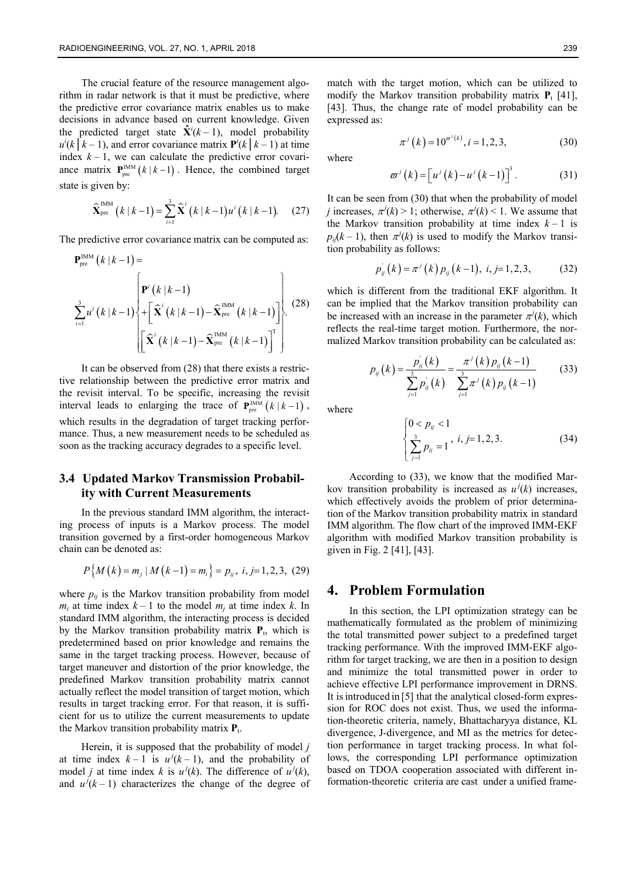The crucial feature of the resource management algorithm in radar network is that it must be predictive, where the predictive error covariance matrix enables us to make decisions in advance based on current knowledge. Given the predicted target state  $\hat{\mathbf{X}}^{i}(k-1)$ , model probability  $u^{i}(k | k - 1)$ , and error covariance matrix  $P^{i}(k | k - 1)$  at time index  $k-1$ , we can calculate the predictive error covariance matrix  $P_{\text{pre}}^{\text{IMM}}(k|k-1)$ . Hence, the combined target state is given by:

$$
\widehat{\mathbf{X}}_{\text{pre}}^{\text{IMM}}(k|k-1) = \sum_{i=1}^{3} \widehat{\mathbf{X}}^{i}(k|k-1)u^{i}(k|k-1). \quad (27)
$$

The predictive error covariance matrix can be computed as:

$$
\mathbf{P}_{\text{pre}}^{\text{IMM}}(k|k-1) = \frac{\left| \mathbf{P}^{i}(k|k-1) \right|}{\left| \mathbf{\hat{X}}^{i}(k|k-1) - \mathbf{\hat{X}}_{\text{pre}}^{\text{IMM}}(k|k-1) \right|}. (28)
$$
\n
$$
\left[ \mathbf{\hat{X}}^{i}(k|k-1) - \mathbf{\hat{X}}_{\text{pre}}^{\text{IMM}}(k|k-1) \right]^{T}
$$

It can be observed from (28) that there exists a restrictive relationship between the predictive error matrix and the revisit interval. To be specific, increasing the revisit interval leads to enlarging the trace of  $P_{\text{pre}}^{\text{IMM}}(k|k-1)$ , which results in the degradation of target tracking performance. Thus, a new measurement needs to be scheduled as soon as the tracking accuracy degrades to a specific level.

# **3.4 Updated Markov Transmission Probability with Current Measurements**

In the previous standard IMM algorithm, the interacting process of inputs is a Markov process. The model transition governed by a first-order homogeneous Markov chain can be denoted as:

$$
P\big\{M(k)=m_j\mid M(k-1)=m_i\big\}=p_{ij},\ i,j=1,2,3,\ (29)
$$

where  $p_{ij}$  is the Markov transition probability from model  $m_i$  at time index  $k-1$  to the model  $m_i$  at time index k. In standard IMM algorithm, the interacting process is decided by the Markov transition probability matrix **P**<sub>t</sub>, which is predetermined based on prior knowledge and remains the same in the target tracking process. However, because of target maneuver and distortion of the prior knowledge, the predefined Markov transition probability matrix cannot actually reflect the model transition of target motion, which results in target tracking error. For that reason, it is sufficient for us to utilize the current measurements to update the Markov transition probability matrix  $P_t$ .

Herein, it is supposed that the probability of model *j* at time index  $k-1$  is  $u^{j}(k-1)$ , and the probability of model *j* at time index *k* is  $u^{j}(k)$ . The difference of  $u^{j}(k)$ , and  $u^{j}(k-1)$  characterizes the change of the degree of match with the target motion, which can be utilized to modify the Markov transition probability matrix  $P_t$  [41], [43]. Thus, the change rate of model probability can be expressed as:

$$
\pi^{j}(k) = 10^{\pi^{j}(k)}, i = 1, 2, 3,
$$
\n(30)

where

$$
\varpi^{j}(k) = \left[u^{j}(k) - u^{j}(k-1)\right]^{3}.
$$
 (31)

It can be seen from (30) that when the probability of model *j* increases,  $\pi^{j}(k) > 1$ ; otherwise,  $\pi^{j}(k) < 1$ . We assume that the Markov transition probability at time index  $k - 1$  is  $p_{ij}(k-1)$ , then  $\pi^{j}(k)$  is used to modify the Markov transition probability as follows:

$$
p_{ij}^{'}(k) = \pi^{j}(k) p_{ij}(k-1), i, j=1,2,3,
$$
 (32)

which is different from the traditional EKF algorithm. It can be implied that the Markov transition probability can be increased with an increase in the parameter  $\pi^{j}(k)$ , which reflects the real-time target motion. Furthermore, the normalized Markov transition probability can be calculated as:

$$
p_{ij}(k) = \frac{p_{ij}(k)}{\sum_{j=1}^{3} p_{ij}(k)} = \frac{\pi^{j}(k) p_{ij}(k-1)}{\sum_{j=1}^{3} \pi^{j}(k) p_{ij}(k-1)}
$$
(33)

where

$$
\begin{cases}\n0 < p_{ij} < 1 \\
\sum_{j=1}^{3} p_{ij} = 1, \quad i, j = 1, 2, 3.\n\end{cases} \tag{34}
$$

According to (33), we know that the modified Markov transition probability is increased as  $u^{j}(k)$  increases, which effectively avoids the problem of prior determination of the Markov transition probability matrix in standard IMM algorithm. The flow chart of the improved IMM-EKF algorithm with modified Markov transition probability is given in Fig. 2 [41], [43].

# **4. Problem Formulation**

In this section, the LPI optimization strategy can be mathematically formulated as the problem of minimizing the total transmitted power subject to a predefined target tracking performance. With the improved IMM-EKF algorithm for target tracking, we are then in a position to design and minimize the total transmitted power in order to achieve effective LPI performance improvement in DRNS. It is introduced in [5] that the analytical closed-form expression for ROC does not exist. Thus, we used the information-theoretic criteria, namely, Bhattacharyya distance, KL divergence, J-divergence, and MI as the metrics for detection performance in target tracking process. In what follows, the corresponding LPI performance optimization based on TDOA cooperation associated with different information-theoretic criteria are cast under a unified frame-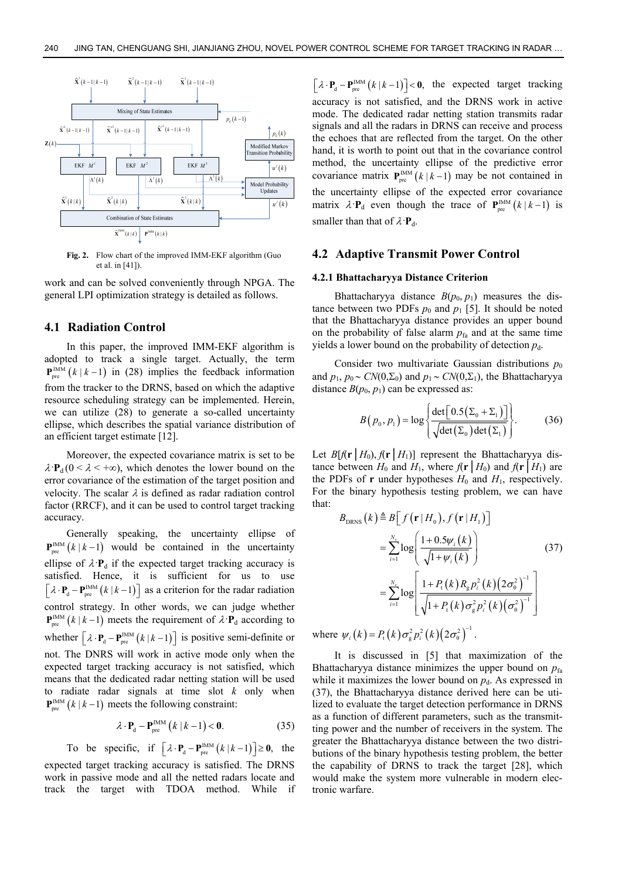

**Fig. 2.** Flow chart of the improved IMM-EKF algorithm (Guo et al. in [41]).

work and can be solved conveniently through NPGA. The general LPI optimization strategy is detailed as follows.

#### **4.1 Radiation Control**

In this paper, the improved IMM-EKF algorithm is adopted to track a single target. Actually, the term  $\mathbf{P}_{\text{pre}}^{\text{IMM}}(k \mid k-1)$  in (28) implies the feedback information from the tracker to the DRNS, based on which the adaptive resource scheduling strategy can be implemented. Herein, we can utilize (28) to generate a so-called uncertainty ellipse, which describes the spatial variance distribution of an efficient target estimate [12].

Moreover, the expected covariance matrix is set to be  $\lambda \cdot P_d (0 \leq \lambda \leq +\infty)$ , which denotes the lower bound on the error covariance of the estimation of the target position and velocity. The scalar  $\lambda$  is defined as radar radiation control factor (RRCF), and it can be used to control target tracking accuracy.

Generally speaking, the uncertainty ellipse of  $\mathbf{P}_{\text{pre}}^{\text{IMM}}(k|k-1)$  would be contained in the uncertainty ellipse of  $\lambda \cdot P_d$  if the expected target tracking accuracy is satisfied. Hence, it is sufficient for us to use  $\left[\lambda \cdot \mathbf{P}_{d} - \mathbf{P}_{pre}^{IMM} (k | k - 1)\right]$  as a criterion for the radar radiation control strategy. In other words, we can judge whether  $\mathbf{P}_{\text{pre}}^{\text{IMM}}(k | k - 1)$  meets the requirement of  $\lambda \cdot \mathbf{P}_{d}$  according to whether  $\left[\lambda \cdot \mathbf{P}_{d} - \mathbf{P}_{pre}^{IMM} (k | k - 1)\right]$  is positive semi-definite or not. The DNRS will work in active mode only when the expected target tracking accuracy is not satisfied, which means that the dedicated radar netting station will be used to radiate radar signals at time slot *k* only when  $\mathbf{P}_{\text{pre}}^{\text{IMM}}(k|k-1)$  meets the following constraint:

$$
\lambda \cdot \mathbf{P}_{d} - \mathbf{P}_{pre}^{JMM} (k \mid k-1) < 0. \tag{35}
$$

To be specific, if  $\left[\lambda \cdot \mathbf{P}_{d} - \mathbf{P}_{pre}^{IMM}(k \mid k-1)\right] \ge 0$ , the expected target tracking accuracy is satisfied. The DRNS work in passive mode and all the netted radars locate and track the target with TDOA method. While if

 $\left[\lambda \cdot \mathbf{P}_{d} - \mathbf{P}_{pre}^{IMM} (k \mid k-1)\right] < 0$ , the expected target tracking accuracy is not satisfied, and the DRNS work in active mode. The dedicated radar netting station transmits radar signals and all the radars in DRNS can receive and process the echoes that are reflected from the target. On the other hand, it is worth to point out that in the covariance control method, the uncertainty ellipse of the predictive error covariance matrix  $P_{\text{pre}}^{\text{IMM}}(k|k-1)$  may be not contained in the uncertainty ellipse of the expected error covariance matrix  $\lambda \cdot P_d$  even though the trace of  $P_{\text{pre}}^{\text{IMM}}(k \mid k-1)$  is smaller than that of  $\lambda \cdot P_d$ .

### **4.2 Adaptive Transmit Power Control**

#### **4.2.1 Bhattacharyya Distance Criterion**

Bhattacharyya distance  $B(p_0, p_1)$  measures the distance between two PDFs  $p_0$  and  $p_1$  [5]. It should be noted that the Bhattacharyya distance provides an upper bound on the probability of false alarm  $p_{fa}$  and at the same time yields a lower bound on the probability of detection  $p_d$ .

Consider two multivariate Gaussian distributions  $p_0$ and  $p_1$ ,  $p_0 \sim CN(0, \Sigma_0)$  and  $p_1 \sim CN(0, \Sigma_1)$ , the Bhattacharyya distance  $B(p_0, p_1)$  can be expressed as:

$$
B(p_0, p_1) = \log \left\{ \frac{\det \left[ 0.5(\Sigma_0 + \Sigma_1) \right]}{\sqrt{\det(\Sigma_0) \det(\Sigma_1)}} \right\}.
$$
 (36)

Let  $B[f(\mathbf{r} \mid H_0), f(\mathbf{r} \mid H_1)]$  represent the Bhattacharyya distance between  $H_0$  and  $H_1$ , where  $f(\mathbf{r} \mid H_0)$  and  $f(\mathbf{r} \mid H_1)$  are the PDFs of **r** under hypotheses  $H_0$  and  $H_1$ , respectively. For the binary hypothesis testing problem, we can have that:

$$
B_{DRNS}(k) \triangleq B[f(\mathbf{r}|H_0), f(\mathbf{r}|H_1)]
$$
  
= 
$$
\sum_{i=1}^{N_r} \log \left( \frac{1 + 0.5\psi_i(k)}{\sqrt{1 + \psi_i(k)}} \right)
$$
(37)  
= 
$$
\sum_{i=1}^{N_r} \log \left[ \frac{1 + P_t(k) R_g p_i^2(k) (2\sigma_0^2)^{-1}}{\sqrt{1 + P_t(k) \sigma_g^2 p_i^2(k) (\sigma_0^2)^{-1}}} \right]
$$

where  $\psi_i(k) = P_t(k) \sigma_g^2 p_i^2(k) (2\sigma_0^2)^{-1}$ .

It is discussed in [5] that maximization of the Bhattacharyya distance minimizes the upper bound on  $p_{fa}$ while it maximizes the lower bound on  $p_d$ . As expressed in (37), the Bhattacharyya distance derived here can be utilized to evaluate the target detection performance in DRNS as a function of different parameters, such as the transmitting power and the number of receivers in the system. The greater the Bhattacharyya distance between the two distributions of the binary hypothesis testing problem, the better the capability of DRNS to track the target [28], which would make the system more vulnerable in modern electronic warfare.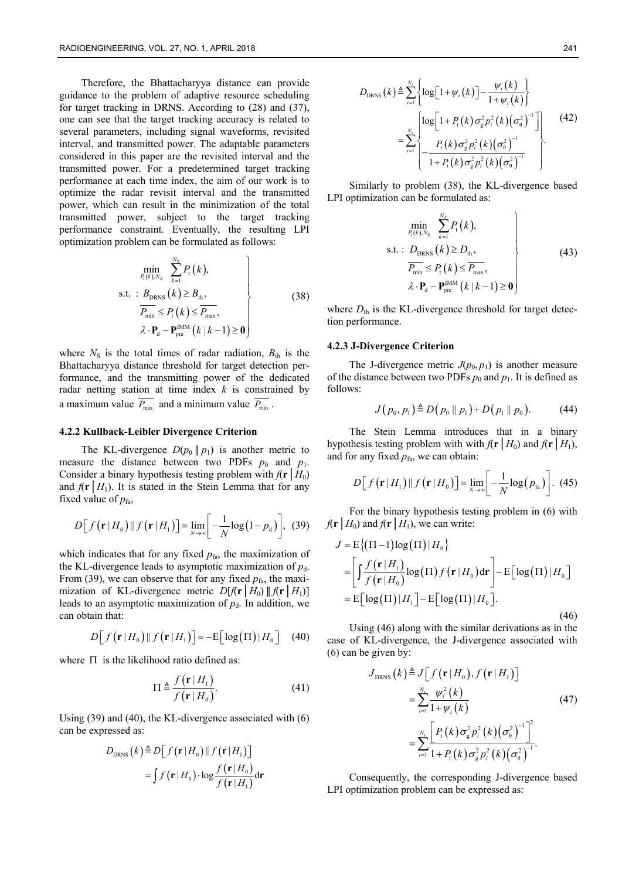Therefore, the Bhattacharyya distance can provide guidance to the problem of adaptive resource scheduling for target tracking in DRNS. According to (28) and (37), one can see that the target tracking accuracy is related to several parameters, including signal waveforms, revisited interval, and transmitted power. The adaptable parameters considered in this paper are the revisited interval and the transmitted power. For a predetermined target tracking performance at each time index, the aim of our work is to optimize the radar revisit interval and the transmitted power, which can result in the minimization of the total transmitted power, subject to the target tracking performance constraint. Eventually, the resulting LPI optimization problem can be formulated as follows:

$$
\min_{P_t(k), N_S} \sum_{k=1}^{N_S} P_t(k),
$$
\ns.t. :  $B_{DRNS}(k) \ge B_{th}$ ,  
\n
$$
\overline{P_{min}} \le P_t(k) \le \overline{P_{max}},
$$
\n
$$
\lambda \cdot P_d - P_{pre}^{IMM}(k | k - 1) \ge 0
$$
\n(38)

where  $N<sub>S</sub>$  is the total times of radar radiation,  $B<sub>th</sub>$  is the Bhattacharyya distance threshold for target detection performance, and the transmitting power of the dedicated radar netting station at time index *k* is constrained by a maximum value  $\overline{P_{\text{max}}}$  and a minimum value  $\overline{P_{\text{min}}}$ .

#### **4.2.2 Kullback-Leibler Divergence Criterion**

The KL-divergence  $D(p_0 || p_1)$  is another metric to measure the distance between two PDFs  $p_0$  and  $p_1$ . Consider a binary hypothesis testing problem with  $f(\mathbf{r} \mid H_0)$ and  $f(\mathbf{r} \mid H_1)$ . It is stated in the Stein Lemma that for any fixed value of  $p_{fa}$ ,

$$
D[f(\mathbf{r}|H_0)||f(\mathbf{r}|H_1)] = \lim_{N \to \infty} \left[ -\frac{1}{N} \log(1 - p_d) \right], (39)
$$

which indicates that for any fixed  $p_{fa}$ , the maximization of the KL-divergence leads to asymptotic maximization of  $p_d$ . From (39), we can observe that for any fixed  $p_{fa}$ , the maximization of KL-divergence metric  $D[f(\mathbf{r} | H_0) || f(\mathbf{r} | H_1)]$ leads to an asymptotic maximization of  $p_d$ . In addition, we can obtain that:

$$
D[f(\mathbf{r}|H_0)||f(\mathbf{r}|H_1)] = -E[\log(\Pi)|H_0]
$$
 (40)

where  $\Pi$  is the likelihood ratio defined as:

$$
\Pi \triangleq \frac{f(\mathbf{r} | H_1)}{f(\mathbf{r} | H_0)}.
$$
\n(41)

Using (39) and (40), the KL-divergence associated with (6) can be expressed as:

$$
D_{DRNS}(k) \triangleq D[f(\mathbf{r}|H_0) || f(\mathbf{r}|H_1)]
$$
  
= 
$$
\int f(\mathbf{r}|H_0) \cdot \log \frac{f(\mathbf{r}|H_0)}{f(\mathbf{r}|H_1)} d\mathbf{r}
$$

$$
D_{DRNS}(k) \triangleq \sum_{i=1}^{N_r} \left\{ \log \left[ 1 + \psi_i(k) \right] - \frac{\psi_i(k)}{1 + \psi_i(k)} \right\}
$$
  
= 
$$
\sum_{i=1}^{N_r} \left\{ \log \left[ 1 + P_i(k) \sigma_{\rm g}^2 p_i^2(k) (\sigma_{\rm g}^2)^{-1} \right] \right\}
$$
  
= 
$$
\sum_{i=1}^{N_r} \left\{ -\frac{P_i(k) \sigma_{\rm g}^2 p_i^2(k) (\sigma_{\rm g}^2)^{-1}}{1 + P_i(k) \sigma_{\rm g}^2 p_i^2(k) (\sigma_{\rm g}^2)^{-1}} \right\}.
$$
 (42)

Similarly to problem (38), the KL-divergence based LPI optimization can be formulated as:

$$
\min_{P_i(k), N_S} \sum_{k=1}^{N_S} P_i(k),
$$
\ns.t. :  $D_{DRNS}(k) \ge D_{\text{th}},$   
\n
$$
\overline{P_{\min}} \le P_i(k) \le \overline{P_{\max}},
$$
  
\n
$$
\lambda \cdot P_{\text{d}} - P_{\text{pre}}^{\text{IMM}}(k | k - 1) \ge 0
$$
\n(43)

where  $D_{th}$  is the KL-divergence threshold for target detection performance.

#### **4.2.3 J-Divergence Criterion**

The J-divergence metric  $J(p_0, p_1)$  is another measure of the distance between two PDFs  $p_0$  and  $p_1$ . It is defined as follows:

$$
J(p_0, p_1) \triangleq D(p_0 \| p_1) + D(p_1 \| p_0). \tag{44}
$$

The Stein Lemma introduces that in a binary hypothesis testing problem with with  $f(\mathbf{r} \mid H_0)$  and  $f(\mathbf{r} \mid H_1)$ , and for any fixed  $p_{fa}$ , we can obtain:

$$
D[f(\mathbf{r}|H_1)\|f(\mathbf{r}|H_0)] = \lim_{N\to\infty} \left[-\frac{1}{N}\log(p_{\text{fa}})\right]. \tag{45}
$$

For the binary hypothesis testing problem in (6) with  $f(\mathbf{r} \mid H_0)$  and  $f(\mathbf{r} \mid H_1)$ , we can write:

$$
J = E\{(\Pi - 1)\log(\Pi)|H_0\}
$$
  
\n
$$
= \left[\int \frac{f(\mathbf{r}|H_1)}{f(\mathbf{r}|H_0)}\log(\Pi)f(\mathbf{r}|H_0)\mathrm{d}\mathbf{r}\right] - E\left[\log(\Pi)|H_0\right]
$$
  
\n
$$
= E\left[\log(\Pi)|H_1\right] - E\left[\log(\Pi)|H_0\right].
$$
\n(46)

Using (46) along with the similar derivations as in the case of KL-divergence, the J-divergence associated with (6) can be given by:

$$
J_{DRNS}(k) \triangleq J \left[ f(\mathbf{r} | H_0), f(\mathbf{r} | H_1) \right]
$$
  
= 
$$
\sum_{i=1}^{N_r} \frac{\psi_i^2(k)}{1 + \psi_i(k)}
$$
(47)  
= 
$$
\sum_{i=1}^{N_r} \frac{\left[ P_t(k) \sigma_{\rm g}^2 p_i^2(k) (\sigma_{\rm g}^2)^{-1} \right]^2}{1 + P_t(k) \sigma_{\rm g}^2 p_i^2(k) (\sigma_{\rm g}^2)^{-1}}.
$$

Consequently, the corresponding J-divergence based LPI optimization problem can be expressed as: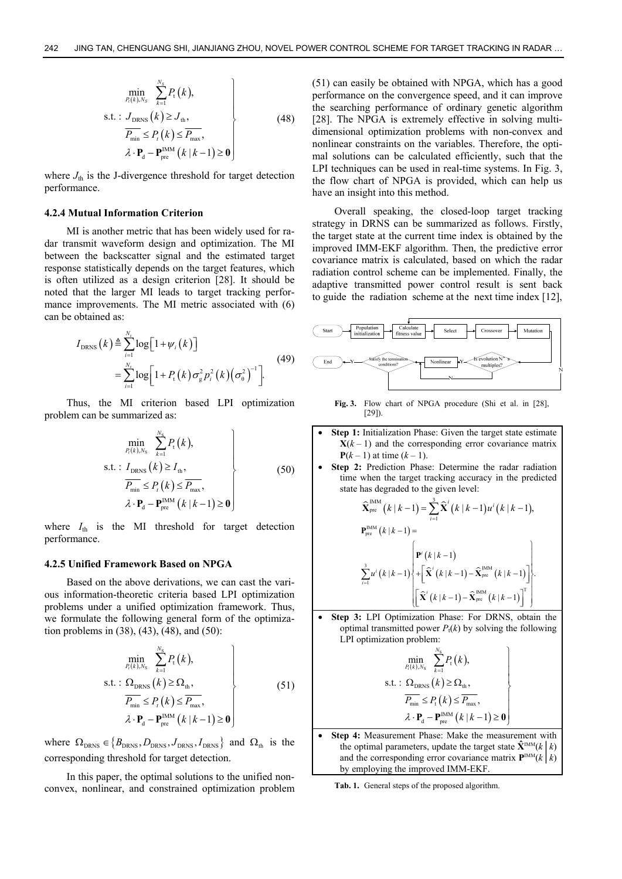$$
\min_{P_{\ell}(k), N_S} \sum_{k=1}^{N_S} P_{\tau}(k),
$$
\ns.t. :  $J_{DRNS}(k) \ge J_{\text{th}},$   
\n $\overline{P_{\min}} \le P_{\ell}(k) \le \overline{P_{\max}},$   
\n $\lambda \cdot P_{\text{d}} - P_{\text{pre}}^{\text{IMM}}(k | k - 1) \ge 0$  (48)

where  $J_{\text{th}}$  is the J-divergence threshold for target detection performance.

#### **4.2.4 Mutual Information Criterion**

MI is another metric that has been widely used for radar transmit waveform design and optimization. The MI between the backscatter signal and the estimated target response statistically depends on the target features, which is often utilized as a design criterion [28]. It should be noted that the larger MI leads to target tracking performance improvements. The MI metric associated with (6) can be obtained as:

$$
I_{\text{DRNS}}(k) \triangleq \sum_{i=1}^{N_{\text{r}}}\log[1+\psi_{i}(k)]
$$
  
= 
$$
\sum_{i=1}^{N_{\text{r}}}\log[1+P_{\text{t}}(k)\sigma_{\text{g}}^{2}p_{i}^{2}(k)(\sigma_{\theta}^{2})^{-1}].
$$
 (49)

Thus, the MI criterion based LPI optimization problem can be summarized as:

$$
\min_{P_t(k), N_S} \sum_{k=1}^{N_S} P_t(k),
$$
\ns.t. :  $I_{DRNS}(k) \ge I_{th}$ ,  
\n
$$
\overline{P_{min}} \le P_t(k) \le \overline{P_{max}}
$$
,  
\n
$$
\lambda \cdot \mathbf{P}_d - \mathbf{P}_{pre}^{IMM}(k | k - 1) \ge 0
$$
\n(50)

where  $I_{th}$  is the MI threshold for target detection performance.

#### **4.2.5 Unified Framework Based on NPGA**

Based on the above derivations, we can cast the various information-theoretic criteria based LPI optimization problems under a unified optimization framework. Thus, we formulate the following general form of the optimization problems in (38), (43), (48), and (50):

$$
\min_{P_t(k), N_S} \sum_{k=1}^{N_S} P_t(k),
$$
\ns.t. :  $\Omega_{DRNS}(k) \ge \Omega_{th}$ ,  
\n
$$
\overline{P_{min}} \le P_t(k) \le \overline{P_{max}},
$$
\n
$$
\lambda \cdot \mathbf{P}_d - \mathbf{P}_{pre}^{IMM}(k|k-1) \ge 0
$$
\n(51)

where  $\Omega_{DRNS} \in \{B_{DRNS}, D_{DRNS}, J_{DRNS}, I_{DRNS}\}\$  and  $\Omega_{th}$  is the corresponding threshold for target detection.

In this paper, the optimal solutions to the unified nonconvex, nonlinear, and constrained optimization problem (51) can easily be obtained with NPGA, which has a good performance on the convergence speed, and it can improve the searching performance of ordinary genetic algorithm [28]. The NPGA is extremely effective in solving multidimensional optimization problems with non-convex and nonlinear constraints on the variables. Therefore, the optimal solutions can be calculated efficiently, such that the LPI techniques can be used in real-time systems. In Fig. 3, the flow chart of NPGA is provided, which can help us have an insight into this method.

Overall speaking, the closed-loop target tracking strategy in DRNS can be summarized as follows. Firstly, the target state at the current time index is obtained by the improved IMM-EKF algorithm. Then, the predictive error covariance matrix is calculated, based on which the radar radiation control scheme can be implemented. Finally, the adaptive transmitted power control result is sent back to guide the radiation scheme at the next time index [12],



**Fig. 3.** Flow chart of NPGA procedure (Shi et al. in [28], [29]).

- **Step 1:** Initialization Phase: Given the target state estimate  $X(k-1)$  and the corresponding error covariance matrix **P**(*k –* 1) at time (*k –* 1).
- **Step 2:** Prediction Phase: Determine the radar radiation time when the target tracking accuracy in the predicted state has degraded to the given level:

$$
\widehat{\mathbf{X}}_{\text{pre}}^{\text{IMM}}(k|k-1) = \sum_{i=1}^{3} \widehat{\mathbf{X}}^{i}(k|k-1)u^{i}(k|k-1),
$$
\n
$$
\mathbf{P}_{\text{pre}}^{\text{IMM}}(k|k-1) =
$$
\n
$$
\sum_{i=1}^{3} u^{i}(k|k-1) \left\{ \begin{aligned} &\mathbf{P}^{i}(k|k-1) \\ &+ \left[ \widehat{\mathbf{X}}^{i}(k|k-1) - \widehat{\mathbf{X}}_{\text{pre}}^{\text{IMM}}(k|k-1) \right] \\ & \left[ \widehat{\mathbf{X}}^{i}(k|k-1) - \widehat{\mathbf{X}}_{\text{pre}}^{\text{IMM}}(k|k-1) \right]^{T} \end{aligned} \right\}.
$$

 **Step 3:** LPI Optimization Phase: For DRNS, obtain the optimal transmitted power  $P_t(k)$  by solving the following LPI optimization problem:

$$
\min_{P_t(k), N_S} \sum_{k=1}^{N_S} P_t(k),
$$
\ns.t. :  $\Omega_{DRNS}(k) \ge \Omega_{th}$ ,  
\n
$$
\overline{P_{min}} \le P_t(k) \le \overline{P_{max}},
$$
\n
$$
\lambda \cdot P_d - P_{pre}^{IMM}(k|k-1) \ge 0
$$
\n• Step 4: Measurement Phase: Make the measurement with

the optimal parameters, update the target state  $\hat{\mathbf{X}}^{\text{IMM}}(k \mid k)$ and the corresponding error covariance matrix  $\mathbf{P}^{\text{IMM}}(k \mid k)$ by employing the improved IMM-EKF

**Tab. 1.** General steps of the proposed algorithm.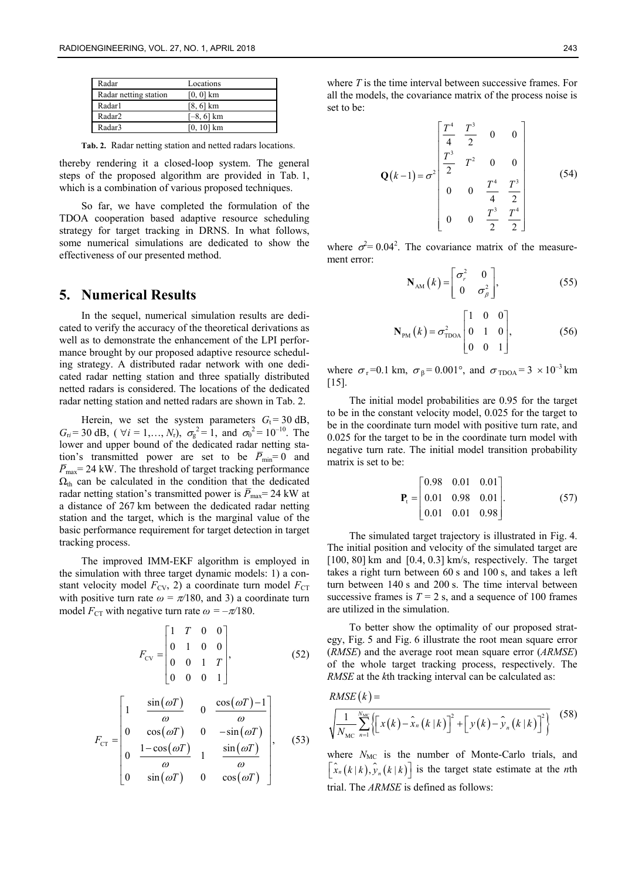| Radar                 | Locations    |
|-----------------------|--------------|
| Radar netting station | $[0, 0]$ km  |
| Radar1                | $[8, 6]$ km  |
| Radar2                | $[-8, 6]$ km |
| Radar3                | [0. 10] km   |

**Tab. 2.** Radar netting station and netted radars locations.

thereby rendering it a closed-loop system. The general steps of the proposed algorithm are provided in Tab. 1, which is a combination of various proposed techniques.

So far, we have completed the formulation of the TDOA cooperation based adaptive resource scheduling strategy for target tracking in DRNS. In what follows, some numerical simulations are dedicated to show the effectiveness of our presented method.

# **5. Numerical Results**

In the sequel, numerical simulation results are dedicated to verify the accuracy of the theoretical derivations as well as to demonstrate the enhancement of the LPI performance brought by our proposed adaptive resource scheduling strategy. A distributed radar network with one dedicated radar netting station and three spatially distributed netted radars is considered. The locations of the dedicated radar netting station and netted radars are shown in Tab. 2.

Herein, we set the system parameters  $G_t = 30$  dB,  $G_{\text{ri}} = 30 \text{ dB}$ , ( $\forall i = 1,..., N_{\text{r}}$ ),  $\sigma_{\text{g}}^2 = 1$ , and  $\sigma_{\theta}^2 = 10^{-10}$ . The lower and upper bound of the dedicated radar netting station's transmitted power are set to be  $\overline{P}_{min} = 0$  and  $\overline{P}_{\text{max}}$  = 24 kW. The threshold of target tracking performance  $\Omega_{\text{th}}$  can be calculated in the condition that the dedicated radar netting station's transmitted power is  $\overline{P}_{\text{max}} = 24 \text{ kW}$  at a distance of 267 km between the dedicated radar netting station and the target, which is the marginal value of the basic performance requirement for target detection in target tracking process.

The improved IMM-EKF algorithm is employed in the simulation with three target dynamic models: 1) a constant velocity model  $F_{CV}$ , 2) a coordinate turn model  $F_{CT}$ with positive turn rate  $\omega = \pi/180$ , and 3) a coordinate turn model  $F_{CT}$  with negative turn rate  $\omega = -\pi/180$ .

$$
F_{\rm CV} = \begin{bmatrix} 1 & T & 0 & 0 \\ 0 & 1 & 0 & 0 \\ 0 & 0 & 1 & T \\ 0 & 0 & 0 & 1 \end{bmatrix},
$$
 (52)

$$
F_{\rm CT} = \begin{bmatrix} 1 & \frac{\sin(\omega T)}{\omega} & 0 & \frac{\cos(\omega T) - 1}{\omega} \\ 0 & \cos(\omega T) & 0 & -\sin(\omega T) \\ 0 & \frac{1 - \cos(\omega T)}{\omega} & 1 & \frac{\sin(\omega T)}{\omega} \\ 0 & \sin(\omega T) & 0 & \cos(\omega T) \end{bmatrix}, \quad (53)
$$

where *T* is the time interval between successive frames. For all the models, the covariance matrix of the process noise is set to be:

$$
\mathbf{Q}(k-1) = \sigma^2 \begin{bmatrix} \frac{T^4}{4} & \frac{T^3}{2} & 0 & 0 \\ \frac{T^3}{2} & T^2 & 0 & 0 \\ 0 & 0 & \frac{T^4}{4} & \frac{T^3}{2} \\ 0 & 0 & \frac{T^3}{2} & \frac{T^4}{2} \end{bmatrix}
$$
(54)

where  $\sigma^2 = 0.04^2$ . The covariance matrix of the measurement error:

$$
\mathbf{N}_{\text{AM}}(k) = \begin{bmatrix} \sigma_r^2 & 0 \\ 0 & \sigma_\beta^2 \end{bmatrix},\tag{55}
$$

$$
\mathbf{N}_{\text{PM}}(k) = \sigma_{\text{TDOA}}^2 \begin{bmatrix} 1 & 0 & 0 \\ 0 & 1 & 0 \\ 0 & 0 & 1 \end{bmatrix},\tag{56}
$$

where  $\sigma_{\rm r}$  =0.1 km,  $\sigma_{\rm \beta}$  = 0.001°, and  $\sigma_{\rm \gamma DOA}$  = 3  $\times$  10<sup>-3</sup> km [15].

The initial model probabilities are 0.95 for the target to be in the constant velocity model, 0.025 for the target to be in the coordinate turn model with positive turn rate, and 0.025 for the target to be in the coordinate turn model with negative turn rate. The initial model transition probability matrix is set to be:

$$
\mathbf{P}_{t} = \begin{bmatrix} 0.98 & 0.01 & 0.01 \\ 0.01 & 0.98 & 0.01 \\ 0.01 & 0.01 & 0.98 \end{bmatrix} . \tag{57}
$$

The simulated target trajectory is illustrated in Fig. 4. The initial position and velocity of the simulated target are [100, 80] km and [0.4, 0.3] km/s, respectively. The target takes a right turn between 60 s and 100 s, and takes a left turn between 140 s and 200 s. The time interval between successive frames is  $T = 2$  s, and a sequence of 100 frames are utilized in the simulation.

To better show the optimality of our proposed strategy, Fig. 5 and Fig. 6 illustrate the root mean square error (*RMSE*) and the average root mean square error (*ARMSE*) of the whole target tracking process, respectively. The *RMSE* at the *k*th tracking interval can be calculated as:

 $RMSE(k)$  =

$$
\sqrt{\frac{1}{N_{\text{MC}}}\sum_{n=1}^{N_{\text{MC}}}\left\{\left[x(k)-\hat{x}_n(k|k)\right]^2+\left[y(k)-\hat{y}_n(k|k)\right]^2\right\}}
$$
(58)

where  $N_{MC}$  is the number of Monte-Carlo trials, and  $\left[ \hat{x}_n(k|k), \hat{y}_n(k|k) \right]$  is the target state estimate at the *n*th trial. The *ARMSE* is defined as follows: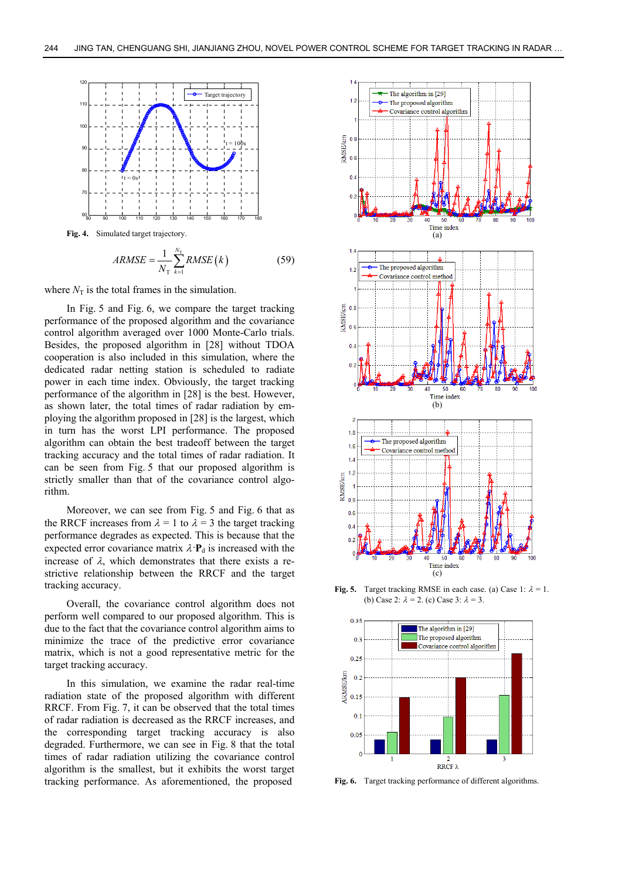

Fig. 4. Simulated target trajectory.

$$
ARMSE = \frac{1}{N_{\rm T}} \sum_{k=1}^{N_{\rm T}} RMSE(k)
$$
 (59)

where  $N<sub>T</sub>$  is the total frames in the simulation.

In Fig. 5 and Fig. 6, we compare the target tracking performance of the proposed algorithm and the covariance control algorithm averaged over 1000 Monte-Carlo trials. Besides, the proposed algorithm in [28] without TDOA cooperation is also included in this simulation, where the dedicated radar netting station is scheduled to radiate power in each time index. Obviously, the target tracking performance of the algorithm in [28] is the best. However, as shown later, the total times of radar radiation by employing the algorithm proposed in [28] is the largest, which in turn has the worst LPI performance. The proposed algorithm can obtain the best tradeoff between the target tracking accuracy and the total times of radar radiation. It can be seen from Fig. 5 that our proposed algorithm is strictly smaller than that of the covariance control algorithm.

Moreover, we can see from Fig. 5 and Fig. 6 that as the RRCF increases from  $\lambda = 1$  to  $\lambda = 3$  the target tracking performance degrades as expected. This is because that the expected error covariance matrix  $\lambda \cdot P_d$  is increased with the increase of  $\lambda$ , which demonstrates that there exists a restrictive relationship between the RRCF and the target tracking accuracy.

Overall, the covariance control algorithm does not perform well compared to our proposed algorithm. This is due to the fact that the covariance control algorithm aims to minimize the trace of the predictive error covariance matrix, which is not a good representative metric for the target tracking accuracy.

In this simulation, we examine the radar real-time radiation state of the proposed algorithm with different RRCF. From Fig. 7, it can be observed that the total times of radar radiation is decreased as the RRCF increases, and the corresponding target tracking accuracy is also degraded. Furthermore, we can see in Fig. 8 that the total times of radar radiation utilizing the covariance control algorithm is the smallest, but it exhibits the worst target tracking performance. As aforementioned, the proposed



**Fig. 5.** Target tracking RMSE in each case. (a) Case 1:  $\lambda = 1$ . (b) Case 2:  $\lambda = 2$ . (c) Case 3:  $\lambda = 3$ .



**Fig. 6.** Target tracking performance of different algorithms.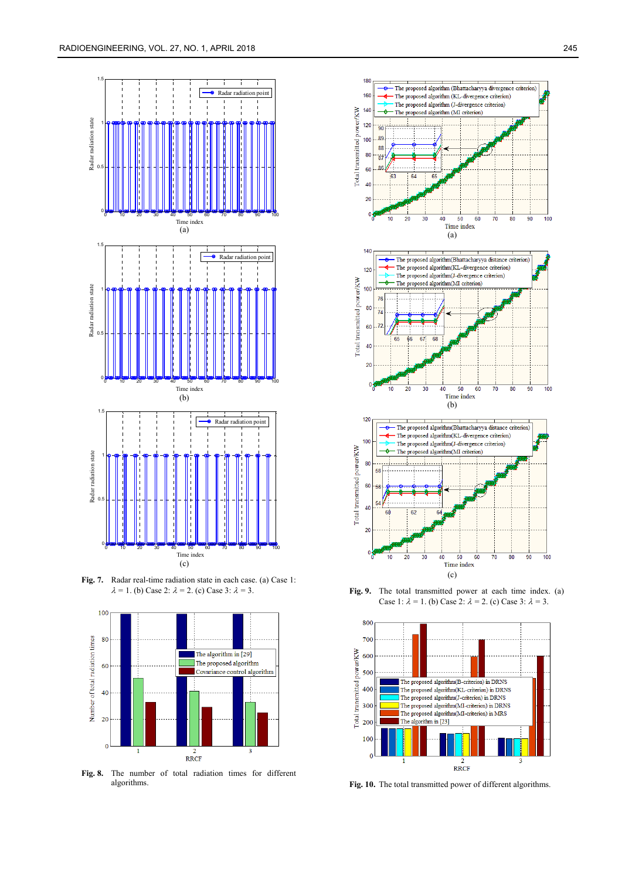

**Fig. 7.** Radar real-time radiation state in each case. (a) Case 1:  $\lambda = 1$ . (b) Case 2:  $\lambda = 2$ . (c) Case 3:  $\lambda = 3$ .



**Fig. 8.** The number of total radiation times for different algorithms.



Fig. 9. The total transmitted power at each time index. (a) Case 1:  $\lambda = 1$ . (b) Case 2:  $\lambda = 2$ . (c) Case 3:  $\lambda = 3$ .



Fig. 10. The total transmitted power of different algorithms.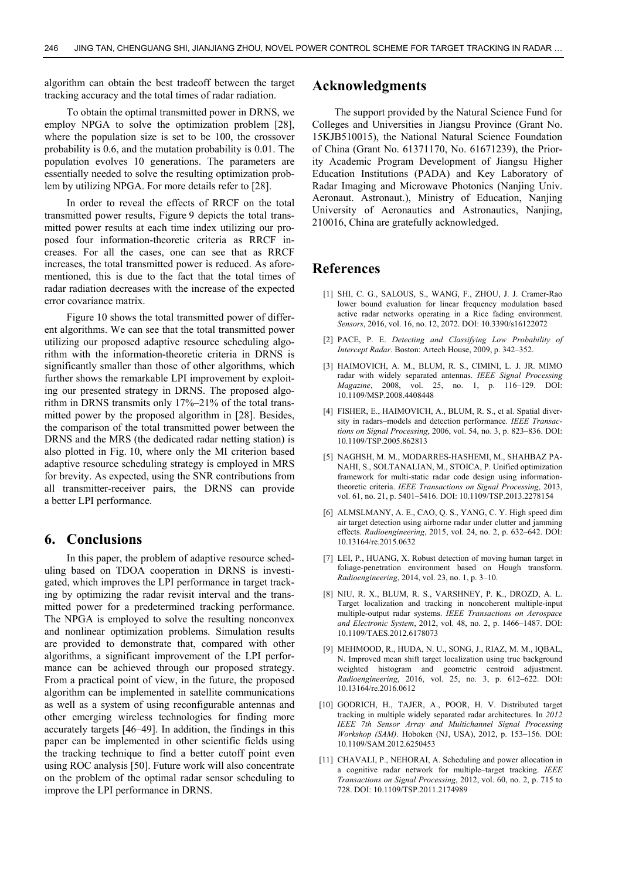algorithm can obtain the best tradeoff between the target tracking accuracy and the total times of radar radiation.

To obtain the optimal transmitted power in DRNS, we employ NPGA to solve the optimization problem [28], where the population size is set to be 100, the crossover probability is 0.6, and the mutation probability is 0.01. The population evolves 10 generations. The parameters are essentially needed to solve the resulting optimization problem by utilizing NPGA. For more details refer to [28].

In order to reveal the effects of RRCF on the total transmitted power results, Figure 9 depicts the total transmitted power results at each time index utilizing our proposed four information-theoretic criteria as RRCF increases. For all the cases, one can see that as RRCF increases, the total transmitted power is reduced. As aforementioned, this is due to the fact that the total times of radar radiation decreases with the increase of the expected error covariance matrix.

Figure 10 shows the total transmitted power of different algorithms. We can see that the total transmitted power utilizing our proposed adaptive resource scheduling algorithm with the information-theoretic criteria in DRNS is significantly smaller than those of other algorithms, which further shows the remarkable LPI improvement by exploiting our presented strategy in DRNS. The proposed algorithm in DRNS transmits only 17%–21% of the total transmitted power by the proposed algorithm in [28]. Besides, the comparison of the total transmitted power between the DRNS and the MRS (the dedicated radar netting station) is also plotted in Fig. 10, where only the MI criterion based adaptive resource scheduling strategy is employed in MRS for brevity. As expected, using the SNR contributions from all transmitter-receiver pairs, the DRNS can provide a better LPI performance.

### **6. Conclusions**

In this paper, the problem of adaptive resource scheduling based on TDOA cooperation in DRNS is investigated, which improves the LPI performance in target tracking by optimizing the radar revisit interval and the transmitted power for a predetermined tracking performance. The NPGA is employed to solve the resulting nonconvex and nonlinear optimization problems. Simulation results are provided to demonstrate that, compared with other algorithms, a significant improvement of the LPI performance can be achieved through our proposed strategy. From a practical point of view, in the future, the proposed algorithm can be implemented in satellite communications as well as a system of using reconfigurable antennas and other emerging wireless technologies for finding more accurately targets [46–49]. In addition, the findings in this paper can be implemented in other scientific fields using the tracking technique to find a better cutoff point even using ROC analysis [50]. Future work will also concentrate on the problem of the optimal radar sensor scheduling to improve the LPI performance in DRNS.

### **Acknowledgments**

The support provided by the Natural Science Fund for Colleges and Universities in Jiangsu Province (Grant No. 15KJB510015), the National Natural Science Foundation of China (Grant No. 61371170, No. 61671239), the Priority Academic Program Development of Jiangsu Higher Education Institutions (PADA) and Key Laboratory of Radar Imaging and Microwave Photonics (Nanjing Univ. Aeronaut. Astronaut.), Ministry of Education, Nanjing University of Aeronautics and Astronautics, Nanjing, 210016, China are gratefully acknowledged.

# **References**

- [1] SHI, C. G., SALOUS, S., WANG, F., ZHOU, J. J. Cramer-Rao lower bound evaluation for linear frequency modulation based active radar networks operating in a Rice fading environment. *Sensors*, 2016, vol. 16, no. 12, 2072. DOI: 10.3390/s16122072
- [2] PACE, P. E. *Detecting and Classifying Low Probability of Intercept Radar*. Boston: Artech House, 2009, p. 342–352.
- [3] HAIMOVICH, A. M., BLUM, R. S., CIMINI, L. J. JR. MIMO radar with widely separated antennas. *IEEE Signal Processing Magazine*, 2008, vol. 25, no. 1, p. 116–129. DOI: 10.1109/MSP.2008.4408448
- [4] FISHER, E., HAIMOVICH, A., BLUM, R. S., et al. Spatial diversity in radars–models and detection performance. *IEEE Transactions on Signal Processing*, 2006, vol. 54, no. 3, p. 823–836. DOI: 10.1109/TSP.2005.862813
- [5] NAGHSH, M. M., MODARRES-HASHEMI, M., SHAHBAZ PA-NAHI, S., SOLTANALIAN, M., STOICA, P. Unified optimization framework for multi-static radar code design using informationtheoretic criteria. *IEEE Transactions on Signal Processing*, 2013, vol. 61, no. 21, p. 5401–5416. DOI: 10.1109/TSP.2013.2278154
- [6] ALMSLMANY, A. E., CAO, Q. S., YANG, C. Y. High speed dim air target detection using airborne radar under clutter and jamming effects. *Radioengineering*, 2015, vol. 24, no. 2, p. 632–642. DOI: 10.13164/re.2015.0632
- [7] LEI, P., HUANG, X. Robust detection of moving human target in foliage-penetration environment based on Hough transform. *Radioengineering*, 2014, vol. 23, no. 1, p. 3–10.
- [8] NIU, R. X., BLUM, R. S., VARSHNEY, P. K., DROZD, A. L. Target localization and tracking in noncoherent multiple-input multiple-output radar systems. *IEEE Transactions on Aerospace and Electronic System*, 2012, vol. 48, no. 2, p. 1466–1487. DOI: 10.1109/TAES.2012.6178073
- [9] MEHMOOD, R., HUDA, N. U., SONG, J., RIAZ, M. M., IQBAL, N. Improved mean shift target localization using true background weighted histogram and geometric centroid adjustment. *Radioengineering*, 2016, vol. 25, no. 3, p. 612–622. DOI: 10.13164/re.2016.0612
- [10] GODRICH, H., TAJER, A., POOR, H. V. Distributed target tracking in multiple widely separated radar architectures. In *2012 IEEE 7th Sensor Array and Multichannel Signal Processing Workshop (SAM)*. Hoboken (NJ, USA), 2012, p. 153–156. DOI: 10.1109/SAM.2012.6250453
- [11] CHAVALI, P., NEHORAI, A. Scheduling and power allocation in a cognitive radar network for multiple–target tracking. *IEEE Transactions on Signal Processing*, 2012, vol. 60, no. 2, p. 715 to 728. DOI: 10.1109/TSP.2011.2174989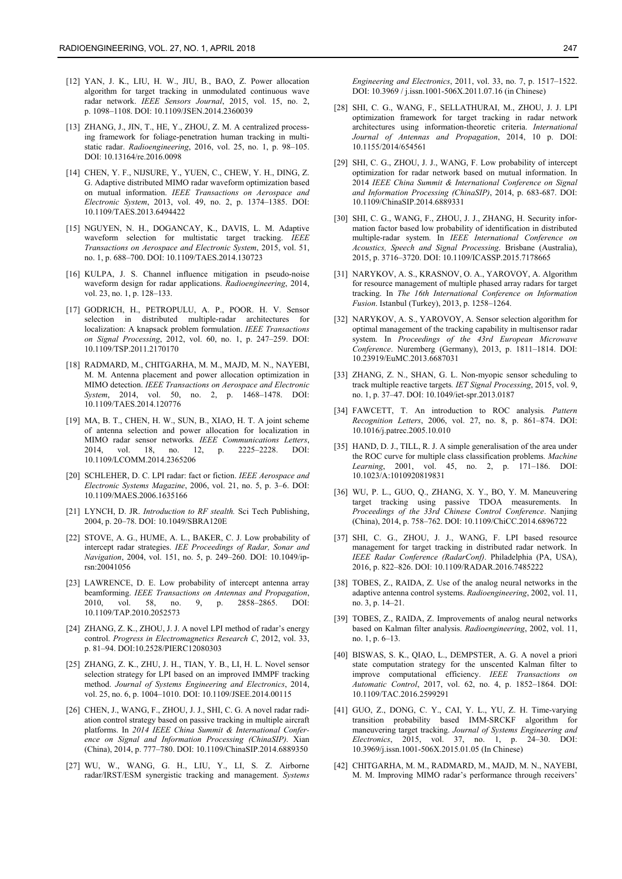- [12] YAN, J. K., LIU, H. W., JIU, B., BAO, Z. Power allocation algorithm for target tracking in unmodulated continuous wave radar network. *IEEE Sensors Journal*, 2015, vol. 15, no. 2, p. 1098–1108. DOI: 10.1109/JSEN.2014.2360039
- [13] ZHANG, J., JIN, T., HE, Y., ZHOU, Z. M. A centralized processing framework for foliage-penetration human tracking in multistatic radar. *Radioengineering*, 2016, vol. 25, no. 1, p. 98–105. DOI: 10.13164/re.2016.0098
- [14] CHEN, Y. F., NIJSURE, Y., YUEN, C., CHEW, Y. H., DING, Z. G. Adaptive distributed MIMO radar waveform optimization based on mutual information. *IEEE Transactions on Aerospace and Electronic System*, 2013, vol. 49, no. 2, p. 1374–1385. DOI: 10.1109/TAES.2013.6494422
- [15] NGUYEN, N. H., DOGANCAY, K., DAVIS, L. M. Adaptive waveform selection for multistatic target tracking. *IEEE Transactions on Aerospace and Electronic System*, 2015, vol. 51, no. 1, p. 688–700. DOI: 10.1109/TAES.2014.130723
- [16] KULPA, J. S. Channel influence mitigation in pseudo-noise waveform design for radar applications. *Radioengineering*, 2014, vol. 23, no. 1, p. 128–133.
- [17] GODRICH, H., PETROPULU, A. P., POOR. H. V. Sensor selection in distributed multiple-radar architectures for localization: A knapsack problem formulation. *IEEE Transactions on Signal Processing*, 2012, vol. 60, no. 1, p. 247–259. DOI: 10.1109/TSP.2011.2170170
- [18] RADMARD, M., CHITGARHA, M. M., MAJD, M. N., NAYEBI, M. M. Antenna placement and power allocation optimization in MIMO detection. *IEEE Transactions on Aerospace and Electronic System*, 2014, vol. 50, no. 2, p. 1468–1478. DOI: 10.1109/TAES.2014.120776
- [19] MA, B. T., CHEN, H. W., SUN, B., XIAO, H. T. A joint scheme of antenna selection and power allocation for localization in MIMO radar sensor networks*. IEEE Communications Letters*, 2014, vol. 18, no. 12, p. 2225–2228. DOI: 10.1109/LCOMM.2014.2365206
- [20] SCHLEHER, D. C. LPI radar: fact or fiction. *IEEE Aerospace and Electronic Systems Magazine*, 2006, vol. 21, no. 5, p. 3–6. DOI: 10.1109/MAES.2006.1635166
- [21] LYNCH, D. JR. *Introduction to RF stealth.* Sci Tech Publishing, 2004, p. 20–78. DOI: 10.1049/SBRA120E
- [22] STOVE, A. G., HUME, A. L., BAKER, C. J. Low probability of intercept radar strategies. *IEE Proceedings of Radar, Sonar and Navigation*, 2004, vol. 151, no. 5, p. 249–260. DOI: 10.1049/iprsn:20041056
- [23] LAWRENCE, D. E. Low probability of intercept antenna array beamforming. *IEEE Transactions on Antennas and Propagation*, 2010, vol. 58, no. 9, p. 2858–2865. DOI: 10.1109/TAP.2010.2052573
- [24] ZHANG, Z. K., ZHOU, J. J. A novel LPI method of radar's energy control. *Progress in Electromagnetics Research C*, 2012, vol. 33, p. 81–94. DOI:10.2528/PIERC12080303
- [25] ZHANG, Z. K., ZHU, J. H., TIAN, Y. B., LI, H. L. Novel sensor selection strategy for LPI based on an improved IMMPF tracking method. *Journal of Systems Engineering and Electronics*, 2014, vol. 25, no. 6, p. 1004–1010. DOI: 10.1109/JSEE.2014.00115
- [26] CHEN, J., WANG, F., ZHOU, J. J., SHI, C. G. A novel radar radiation control strategy based on passive tracking in multiple aircraft platforms. In *2014 IEEE China Summit & International Conference on Signal and Information Processing (ChinaSIP)*. Xian (China), 2014, p. 777–780. DOI: 10.1109/ChinaSIP.2014.6889350
- [27] WU, W., WANG, G. H., LIU, Y., LI, S. Z. Airborne radar/IRST/ESM synergistic tracking and management. *Systems*

*Engineering and Electronics*, 2011, vol. 33, no. 7, p. 1517–1522. DOI: 10.3969 / j.issn.1001-506X.2011.07.16 (in Chinese)

- [28] SHI, C. G., WANG, F., SELLATHURAI, M., ZHOU, J. J. LPI optimization framework for target tracking in radar network architectures using information-theoretic criteria. *International Journal of Antennas and Propagation*, 2014, 10 p. DOI: 10.1155/2014/654561
- [29] SHI, C. G., ZHOU, J. J., WANG, F. Low probability of intercept optimization for radar network based on mutual information. In 2014 *IEEE China Summit & International Conference on Signal and Information Processing (ChinaSIP)*, 2014, p. 683-687. DOI: 10.1109/ChinaSIP.2014.6889331
- [30] SHI, C. G., WANG, F., ZHOU, J. J., ZHANG, H. Security information factor based low probability of identification in distributed multiple-radar system. In *IEEE International Conference on Acoustics, Speech and Signal Processing*. Brisbane (Australia), 2015, p. 3716–3720. DOI: 10.1109/ICASSP.2015.7178665
- [31] NARYKOV, A. S., KRASNOV, O. A., YAROVOY, A. Algorithm for resource management of multiple phased array radars for target tracking. In *The 16th International Conference on Information Fusion*. Istanbul (Turkey), 2013, p. 1258–1264.
- [32] NARYKOV, A. S., YAROVOY, A. Sensor selection algorithm for optimal management of the tracking capability in multisensor radar system. In *Proceedings of the 43rd European Microwave Conference*. Nuremberg (Germany), 2013, p. 1811–1814. DOI: 10.23919/EuMC.2013.6687031
- [33] ZHANG, Z. N., SHAN, G. L. Non-myopic sensor scheduling to track multiple reactive targets*. IET Signal Processing*, 2015, vol. 9, no. 1, p. 37–47. DOI: 10.1049/iet-spr.2013.0187
- [34] FAWCETT, T. An introduction to ROC analysis*. Pattern Recognition Letters*, 2006, vol. 27, no. 8, p. 861–874. DOI: 10.1016/j.patrec.2005.10.010
- [35] HAND, D. J., TILL, R. J. A simple generalisation of the area under the ROC curve for multiple class classification problems*. Machine Learning*, 2001, vol. 45, no. 2, p. 171–186. DOI: 10.1023/A:1010920819831
- [36] WU, P. L., GUO, Q., ZHANG, X. Y., BO, Y. M. Maneuvering target tracking using passive TDOA measurements. In *Proceedings of the 33rd Chinese Control Conference*. Nanjing (China), 2014, p. 758–762. DOI: 10.1109/ChiCC.2014.6896722
- [37] SHI, C. G., ZHOU, J. J., WANG, F. LPI based resource management for target tracking in distributed radar network. In *IEEE Radar Conference (RadarConf)*. Philadelphia (PA, USA), 2016, p. 822–826. DOI: 10.1109/RADAR.2016.7485222
- [38] TOBES, Z., RAIDA, Z. Use of the analog neural networks in the adaptive antenna control systems. *Radioengineering*, 2002, vol. 11, no. 3, p. 14–21.
- [39] TOBES, Z., RAIDA, Z. Improvements of analog neural networks based on Kalman filter analysis. *Radioengineering*, 2002, vol. 11, no. 1, p. 6–13.
- [40] BISWAS, S. K., QIAO, L., DEMPSTER, A. G. A novel a priori state computation strategy for the unscented Kalman filter to improve computational efficiency. *IEEE Transactions on Automatic Control*, 2017, vol. 62, no. 4, p. 1852–1864. DOI: 10.1109/TAC.2016.2599291
- [41] GUO, Z., DONG, C. Y., CAI, Y. L., YU, Z. H. Time-varying transition probability based IMM-SRCKF algorithm for maneuvering target tracking. *Journal of Systems Engineering and Electronics*, 2015, vol. 37, no. 1, p. 24–30. DOI: 10.3969/j.issn.1001-506X.2015.01.05 (In Chinese)
- [42] CHITGARHA, M. M., RADMARD, M., MAJD, M. N., NAYEBI, M. M. Improving MIMO radar's performance through receivers'